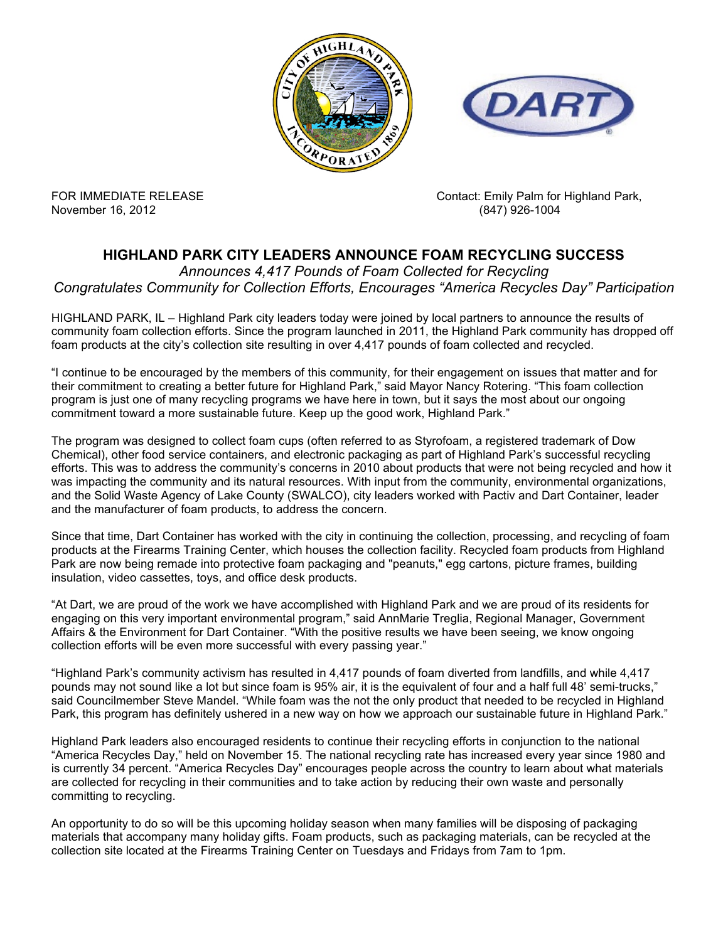



November 16, 2012 (847) 926-1004

FOR IMMEDIATE RELEASE **CONTACT ACCOMPT** Contact: Emily Palm for Highland Park,

## **HIGHLAND PARK CITY LEADERS ANNOUNCE FOAM RECYCLING SUCCESS**

*Announces 4,417 Pounds of Foam Collected for Recycling Congratulates Community for Collection Efforts, Encourages "America Recycles Day" Participation*

HIGHLAND PARK, IL – Highland Park city leaders today were joined by local partners to announce the results of community foam collection efforts. Since the program launched in 2011, the Highland Park community has dropped off foam products at the city's collection site resulting in over 4,417 pounds of foam collected and recycled.

"I continue to be encouraged by the members of this community, for their engagement on issues that matter and for their commitment to creating a better future for Highland Park," said Mayor Nancy Rotering. "This foam collection program is just one of many recycling programs we have here in town, but it says the most about our ongoing commitment toward a more sustainable future. Keep up the good work, Highland Park."

The program was designed to collect foam cups (often referred to as Styrofoam, a registered trademark of Dow Chemical), other food service containers, and electronic packaging as part of Highland Park's successful recycling efforts. This was to address the community's concerns in 2010 about products that were not being recycled and how it was impacting the community and its natural resources. With input from the community, environmental organizations, and the Solid Waste Agency of Lake County (SWALCO), city leaders worked with Pactiv and Dart Container, leader and the manufacturer of foam products, to address the concern.

Since that time, Dart Container has worked with the city in continuing the collection, processing, and recycling of foam products at the Firearms Training Center, which houses the collection facility. Recycled foam products from Highland Park are now being remade into protective foam packaging and "peanuts," egg cartons, picture frames, building insulation, video cassettes, toys, and office desk products.

"At Dart, we are proud of the work we have accomplished with Highland Park and we are proud of its residents for engaging on this very important environmental program," said AnnMarie Treglia, Regional Manager, Government Affairs & the Environment for Dart Container. "With the positive results we have been seeing, we know ongoing collection efforts will be even more successful with every passing year."

"Highland Park's community activism has resulted in 4,417 pounds of foam diverted from landfills, and while 4,417 pounds may not sound like a lot but since foam is 95% air, it is the equivalent of four and a half full 48' semi-trucks," said Councilmember Steve Mandel. "While foam was the not the only product that needed to be recycled in Highland Park, this program has definitely ushered in a new way on how we approach our sustainable future in Highland Park."

Highland Park leaders also encouraged residents to continue their recycling efforts in conjunction to the national "America Recycles Day," held on November 15. The national recycling rate has increased every year since 1980 and is currently 34 percent. "America Recycles Day" encourages people across the country to learn about what materials are collected for recycling in their communities and to take action by reducing their own waste and personally committing to recycling.

An opportunity to do so will be this upcoming holiday season when many families will be disposing of packaging materials that accompany many holiday gifts. Foam products, such as packaging materials, can be recycled at the collection site located at the Firearms Training Center on Tuesdays and Fridays from 7am to 1pm.